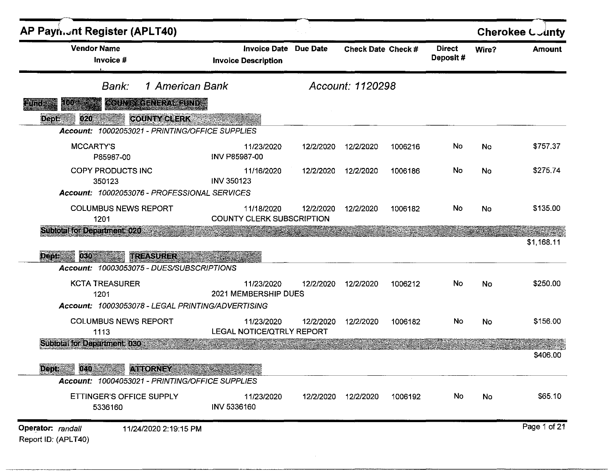| <b>Vendor Name</b><br>Invoice #                                                          | <b>Invoice Date</b><br><b>Invoice Description</b> | <b>Due Date</b> | Check Date Check # |         | <b>Direct</b><br>Deposit# | Wire?     | <b>Amount</b> |
|------------------------------------------------------------------------------------------|---------------------------------------------------|-----------------|--------------------|---------|---------------------------|-----------|---------------|
| 1 American Bank<br>Bank:                                                                 |                                                   |                 | Account: 1120298   |         |                           |           |               |
| GOUNTY CENERAL RUNDS<br>:())<br><u>gündê</u><br><b>COUNTY CLERK</b><br>020<br>Dept:      |                                                   |                 |                    |         |                           |           |               |
| Account: 10002053021 - PRINTING/OFFICE SUPPLIES                                          |                                                   |                 |                    |         |                           |           |               |
| <b>MCCARTY'S</b><br>P85987-00                                                            | 11/23/2020<br>INV P85987-00                       | 12/2/2020       | 12/2/2020          | 1006216 | No                        | No        | \$757.37      |
| COPY PRODUCTS INC<br>350123<br>Account: 10002053076 - PROFESSIONAL SERVICES              | 11/16/2020<br><b>INV 350123</b>                   | 12/2/2020       | 12/2/2020          | 1006186 | No                        | No        | \$275.74      |
| <b>COLUMBUS NEWS REPORT</b><br>1201                                                      | 11/18/2020<br><b>COUNTY CLERK SUBSCRIPTION</b>    | 12/2/2020       | 12/2/2020          | 1006182 | No                        | <b>No</b> | \$135.00      |
| <b>Subtotal for Department: 020</b>                                                      |                                                   |                 |                    |         |                           |           |               |
| 030<br>Dept:<br><b>TREASURER</b><br>Account: 10003053075 - DUES/SUBSCRIPTIONS            |                                                   |                 |                    |         |                           |           | \$1,168.11    |
| <b>KCTA TREASURER</b><br>1201                                                            | 11/23/2020<br>2021 MEMBERSHIP DUES                | 12/2/2020       | 12/2/2020          | 1006212 | No                        | No        | \$250.00      |
| Account: 10003053078 - LEGAL PRINTING/ADVERTISING<br><b>COLUMBUS NEWS REPORT</b><br>1113 | 11/23/2020<br>LEGAL NOTICE/QTRLY REPORT           | 12/2/2020       | 12/2/2020          | 1006182 | No                        | No        | \$156.00      |
| Subiotal for Department 030                                                              |                                                   |                 |                    |         |                           |           | \$406.00      |
| 040 30<br><b>ATTORNEY</b><br><b>Dept.</b>                                                |                                                   |                 |                    |         |                           |           |               |
| Account: 10004053021 - PRINTING/OFFICE SUPPLIES                                          |                                                   |                 |                    |         |                           |           |               |
| ETTINGER'S OFFICE SUPPLY<br>5336160                                                      | 11/23/2020<br>INV 5336160                         | 12/2/2020       | 12/2/2020          | 1006192 | No                        | No        | \$65.10       |
| Operator: randall<br>11/24/2020 2:19:15 PM<br>Report ID: (APLT40)                        |                                                   |                 |                    |         |                           |           | Page 1 of 21  |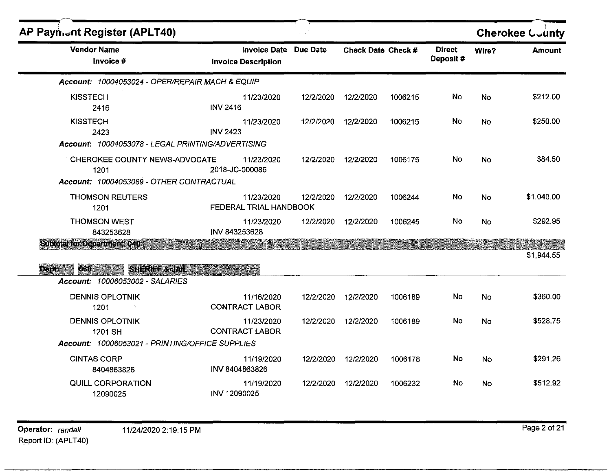| AP Paynient Register (APLT40)                                                                                                                    |                                                            |           |                    |         |                            |           | <b>Cherokee County</b> |
|--------------------------------------------------------------------------------------------------------------------------------------------------|------------------------------------------------------------|-----------|--------------------|---------|----------------------------|-----------|------------------------|
| <b>Vendor Name</b><br>Invoice #                                                                                                                  | <b>Invoice Date Due Date</b><br><b>Invoice Description</b> |           | Check Date Check # |         | <b>Direct</b><br>Deposit # | Wire?     | <b>Amount</b>          |
| Account: 10004053024 - OPER/REPAIR MACH & EQUIP                                                                                                  |                                                            |           |                    |         |                            |           |                        |
| <b>KISSTECH</b><br>2416                                                                                                                          | 11/23/2020<br><b>INV 2416</b>                              | 12/2/2020 | 12/2/2020          | 1006215 | No                         | No.       | \$212.00               |
| <b>KISSTECH</b><br>2423<br>Account: 10004053078 - LEGAL PRINTING/ADVERTISING                                                                     | 11/23/2020<br><b>INV 2423</b>                              | 12/2/2020 | 12/2/2020          | 1006215 | <b>No</b>                  | No        | \$250.00               |
| CHEROKEE COUNTY NEWS-ADVOCATE<br>1201<br>Account: 10004053089 - OTHER CONTRACTUAL                                                                | 11/23/2020<br>2018-JC-000086                               | 12/2/2020 | 12/2/2020          | 1006175 | No.                        | No        | \$84.50                |
| <b>THOMSON REUTERS</b><br>1201                                                                                                                   | 11/23/2020<br>FEDERAL TRIAL HANDBOOK                       | 12/2/2020 | 12/2/2020          | 1006244 | No                         | <b>No</b> | \$1,040.00             |
| <b>THOMSON WEST</b><br>843253628                                                                                                                 | 11/23/2020<br>INV 843253628                                | 12/2/2020 | 12/2/2020          | 1006245 | No.                        | No        | \$292.95               |
| <b>Subtotal for Department: 040:</b><br><b>Dept</b><br>060<br>SHERIFF & JAIL<br><b>STATE AND STATE</b><br><b>Account: 10006053002 - SALARIES</b> |                                                            |           |                    |         |                            |           | \$1,944.55             |
| <b>DENNIS OPLOTNIK</b><br>1201                                                                                                                   | 11/16/2020<br><b>CONTRACT LABOR</b>                        | 12/2/2020 | 12/2/2020          | 1006189 | No                         | <b>No</b> | \$360.00               |
| <b>DENNIS OPLOTNIK</b><br>1201 SH<br>Account: 10006053021 - PRINTING/OFFICE SUPPLIES                                                             | 11/23/2020<br><b>CONTRACT LABOR</b>                        | 12/2/2020 | 12/2/2020          | 1006189 | No.                        | No        | \$528.75               |
| <b>CINTAS CORP</b><br>8404863826                                                                                                                 | 11/19/2020<br>INV 8404863826                               | 12/2/2020 | 12/2/2020          | 1006178 | No                         | No        | \$291.26               |
| QUILL CORPORATION<br>12090025                                                                                                                    | 11/19/2020<br>INV 12090025                                 | 12/2/2020 | 12/2/2020          | 1006232 | No.                        | No        | \$512.92               |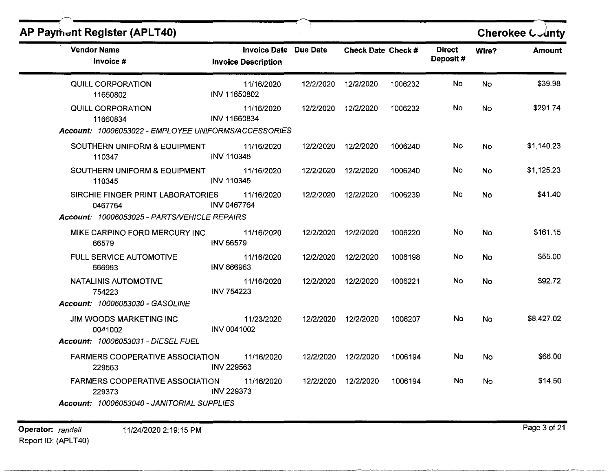| <b>AP Payment Register (APLT40)</b>                                                            |                                                     |           |                           |         |                           |           | <b>Cherokee County</b> |
|------------------------------------------------------------------------------------------------|-----------------------------------------------------|-----------|---------------------------|---------|---------------------------|-----------|------------------------|
| <b>Vendor Name</b><br>Invoice #                                                                | Invoice Date Due Date<br><b>Invoice Description</b> |           | <b>Check Date Check #</b> |         | <b>Direct</b><br>Deposit# | Wire?     | <b>Amount</b>          |
| QUILL CORPORATION<br>11650802                                                                  | 11/16/2020<br>INV 11650802                          | 12/2/2020 | 12/2/2020                 | 1006232 | No.                       | <b>No</b> | \$39.98                |
| QUILL CORPORATION<br>11660834<br>Account: 10006053022 - EMPLOYEE UNIFORMS/ACCESSORIES          | 11/16/2020<br>INV 11660834                          |           | 12/2/2020 12/2/2020       | 1006232 | No.                       | <b>No</b> | \$291.74               |
| SOUTHERN UNIFORM & EQUIPMENT<br>110347                                                         | 11/16/2020<br>INV 110345                            |           | 12/2/2020  12/2/2020      | 1006240 | No                        | No        | \$1,140.23             |
| SOUTHERN UNIFORM & EQUIPMENT<br>110345                                                         | 11/16/2020<br>INV 110345                            | 12/2/2020 | 12/2/2020                 | 1006240 | <b>No</b>                 | <b>No</b> | \$1,125.23             |
| SIRCHIE FINGER PRINT LABORATORIES<br>0467764<br>Account: 10006053025 - PARTS/VEHICLE REPAIRS   | 11/16/2020<br><b>INV 0467764</b>                    | 12/2/2020 | 12/2/2020                 | 1006239 | No                        | No        | \$41.40                |
| MIKE CARPINO FORD MERCURY INC<br>66579                                                         | 11/16/2020<br><b>INV 66579</b>                      | 12/2/2020 | 12/2/2020                 | 1006220 | No                        | No        | \$161.15               |
| FULL SERVICE AUTOMOTIVE<br>666963                                                              | 11/16/2020<br><b>INV 666963</b>                     | 12/2/2020 | 12/2/2020                 | 1006198 | No.                       | <b>No</b> | \$55.00                |
| NATALINIS AUTOMOTIVE<br>754223<br>Account: 10006053030 - GASOLINE                              | 11/16/2020<br>INV 754223                            | 12/2/2020 | 12/2/2020                 | 1006221 | No                        | No        | \$92.72                |
| JIM WOODS MARKETING INC<br>0041002<br>Account: 10006053031 - DIESEL FUEL                       | 11/23/2020<br>INV 0041002                           |           | 12/2/2020 12/2/2020       | 1006207 | No.                       | <b>No</b> | \$8,427.02             |
| <b>FARMERS COOPERATIVE ASSOCIATION</b><br>229563                                               | 11/16/2020<br><b>INV 229563</b>                     | 12/2/2020 | 12/2/2020                 | 1006194 | No                        | No        | \$66.00                |
| <b>FARMERS COOPERATIVE ASSOCIATION</b><br>229373<br>Account: 10006053040 - JANITORIAL SUPPLIES | 11/16/2020<br><b>INV 229373</b>                     | 12/2/2020 | 12/2/2020                 | 1006194 | No.                       | No        | \$14.50                |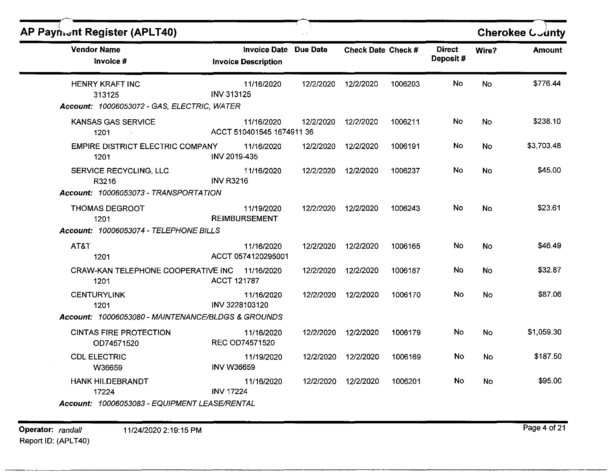| <b>AP Payment Register (APLT40)</b>                                              |                                                   |                 |                    |         |                           |           | Cherokee County |
|----------------------------------------------------------------------------------|---------------------------------------------------|-----------------|--------------------|---------|---------------------------|-----------|-----------------|
| <b>Vendor Name</b><br>Invoice #                                                  | <b>Invoice Date</b><br><b>Invoice Description</b> | <b>Due Date</b> | Check Date Check # |         | <b>Direct</b><br>Deposit# | Wire?     | <b>Amount</b>   |
| <b>HENRY KRAFT INC</b><br>313125<br>Account: 10006053072 - GAS, ELECTRIC, WATER  | 11/16/2020<br><b>INV 313125</b>                   | 12/2/2020       | 12/2/2020          | 1006203 | No.                       | <b>No</b> | \$776.44        |
| KANSAS GAS SERVICE<br>1201                                                       | 11/16/2020<br>ACCT 510401545 1674911 36           | 12/2/2020       | 12/2/2020          | 1006211 | No                        | No        | \$238.10        |
| <b>EMPIRE DISTRICT ELECTRIC COMPANY</b><br>1201                                  | 11/16/2020<br>INV 2019-435                        | 12/2/2020       | 12/2/2020          | 1006191 | No                        | <b>No</b> | \$3,703.48      |
| SERVICE RECYCLING, LLC<br>R3216<br>Account: 10006053073 - TRANSPORTATION         | 11/16/2020<br><b>INV R3216</b>                    | 12/2/2020       | 12/2/2020          | 1006237 | No                        | <b>No</b> | \$45.00         |
| <b>THOMAS DEGROOT</b><br>1201<br>Account: 10006053074 - TELEPHONE BILLS          | 11/19/2020<br><b>REIMBURSEMENT</b>                | 12/2/2020       | 12/2/2020          | 1006243 | No                        | <b>No</b> | \$23.61         |
| AT&T<br>1201                                                                     | 11/16/2020<br>ACCT 0574120295001                  | 12/2/2020       | 12/2/2020          | 1006165 | No.                       | No        | \$46.49         |
| CRAW-KAN TELEPHONE COOPERATIVE INC 11/16/2020<br>1201                            | <b>ACCT 121787</b>                                | 12/2/2020       | 12/2/2020          | 1006187 | No.                       | <b>No</b> | \$32.87         |
| <b>CENTURYLINK</b><br>1201<br>Account: 10006053080 - MAINTENANCE/BLDGS & GROUNDS | 11/16/2020<br>INV 3228103120                      | 12/2/2020       | 12/2/2020          | 1006170 | No                        | No        | \$87.06         |
| <b>CINTAS FIRE PROTECTION</b><br>OD74571520                                      | 11/16/2020<br><b>REC OD74571520</b>               | 12/2/2020       | 12/2/2020          | 1006179 | No                        | <b>No</b> | \$1,059.30      |
| <b>CDL ELECTRIC</b><br>W36659                                                    | 11/19/2020<br><b>INV W36659</b>                   | 12/2/2020       | 12/2/2020          | 1006169 | No                        | <b>No</b> | \$187.50        |
| <b>HANK HILDEBRANDT</b><br>17224                                                 | 11/16/2020<br><b>INV 17224</b>                    | 12/2/2020       | 12/2/2020          | 1006201 | No                        | <b>No</b> | \$95.00         |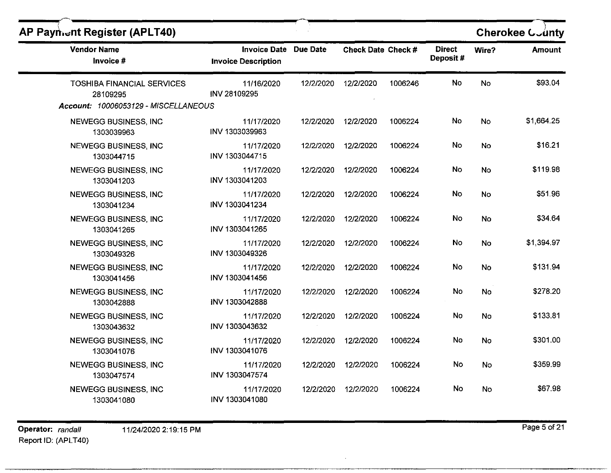| <b>AP Payment Register (APLT40)</b>                                                   |                                                     |           |                    |         |                           |           | Cherokee County |
|---------------------------------------------------------------------------------------|-----------------------------------------------------|-----------|--------------------|---------|---------------------------|-----------|-----------------|
| <b>Vendor Name</b><br>Invoice #                                                       | Invoice Date Due Date<br><b>Invoice Description</b> |           | Check Date Check # |         | <b>Direct</b><br>Deposit# | Wire?     | <b>Amount</b>   |
| <b>TOSHIBA FINANCIAL SERVICES</b><br>28109295<br>Account: 10006053129 - MISCELLANEOUS | 11/16/2020<br>INV 28109295                          | 12/2/2020 | 12/2/2020          | 1006246 | No                        | No        | \$93.04         |
| <b>NEWEGG BUSINESS, INC</b><br>1303039963                                             | 11/17/2020<br>INV 1303039963                        | 12/2/2020 | 12/2/2020          | 1006224 | No                        | <b>No</b> | \$1,664.25      |
| <b>NEWEGG BUSINESS, INC</b><br>1303044715                                             | 11/17/2020<br>INV 1303044715                        | 12/2/2020 | 12/2/2020          | 1006224 | No                        | No        | \$16.21         |
| <b>NEWEGG BUSINESS, INC</b><br>1303041203                                             | 11/17/2020<br>INV 1303041203                        | 12/2/2020 | 12/2/2020          | 1006224 | No                        | No        | \$119.98        |
| NEWEGG BUSINESS, INC<br>1303041234                                                    | 11/17/2020<br>INV 1303041234                        | 12/2/2020 | 12/2/2020          | 1006224 | No                        | No        | \$51.96         |
| NEWEGG BUSINESS, INC<br>1303041265                                                    | 11/17/2020<br>INV 1303041265                        | 12/2/2020 | 12/2/2020          | 1006224 | No                        | No        | \$34.64         |
| NEWEGG BUSINESS, INC<br>1303049326                                                    | 11/17/2020<br>INV 1303049326                        | 12/2/2020 | 12/2/2020          | 1006224 | No.                       | No        | \$1,394.97      |
| NEWEGG BUSINESS, INC<br>1303041456                                                    | 11/17/2020<br>INV 1303041456                        | 12/2/2020 | 12/2/2020          | 1006224 | No                        | <b>No</b> | \$131.94        |
| <b>NEWEGG BUSINESS, INC</b><br>1303042888                                             | 11/17/2020<br><b>INV 1303042888</b>                 | 12/2/2020 | 12/2/2020          | 1006224 | No.                       | No        | \$278.20        |
| <b>NEWEGG BUSINESS, INC</b><br>1303043632                                             | 11/17/2020<br>INV 1303043632                        | 12/2/2020 | 12/2/2020          | 1006224 | No                        | No        | \$133.81        |
| <b>NEWEGG BUSINESS, INC</b><br>1303041076                                             | 11/17/2020<br>INV 1303041076                        | 12/2/2020 | 12/2/2020          | 1006224 | No.                       | No        | \$301.00        |
| <b>NEWEGG BUSINESS, INC</b><br>1303047574                                             | 11/17/2020<br>INV 1303047574                        | 12/2/2020 | 12/2/2020          | 1006224 | No                        | No        | \$359.99        |
| <b>NEWEGG BUSINESS, INC</b><br>1303041080                                             | 11/17/2020<br>INV 1303041080                        | 12/2/2020 | 12/2/2020          | 1006224 | No                        | No        | \$67.98         |

**Operator:** randall 11/24/2020 2:19:15 PM **Page 5 of 21** Report ID: (APLT40)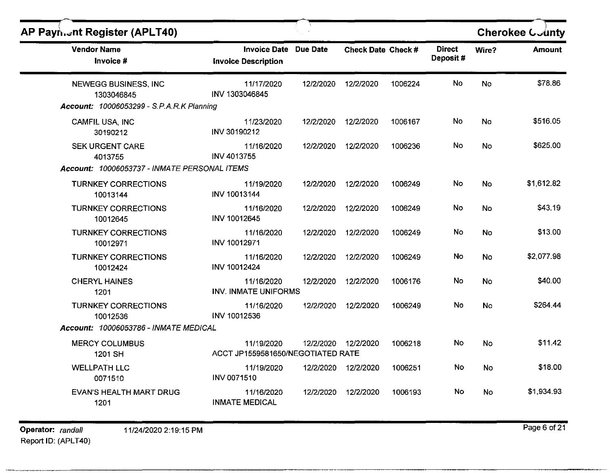| AP Payn. Int Register (APLT40)                                                         |                                                            |           |                           |         |                           |           | <b>Cherokee County</b> |
|----------------------------------------------------------------------------------------|------------------------------------------------------------|-----------|---------------------------|---------|---------------------------|-----------|------------------------|
| <b>Vendor Name</b><br>Invoice #                                                        | <b>Invoice Date Due Date</b><br><b>Invoice Description</b> |           | <b>Check Date Check #</b> |         | <b>Direct</b><br>Deposit# | Wire?     | <b>Amount</b>          |
| NEWEGG BUSINESS, INC<br>1303046845<br><b>Account: 10006053299 - S.P.A.R.K Planning</b> | 11/17/2020<br>INV 1303046845                               | 12/2/2020 | 12/2/2020                 | 1006224 | No.                       | <b>No</b> | \$78.86                |
| CAMFIL USA, INC                                                                        | 11/23/2020                                                 | 12/2/2020 | 12/2/2020                 | 1006167 | No                        | <b>No</b> | \$516.05               |
| 30190212                                                                               | INV 30190212                                               |           |                           |         |                           |           |                        |
| <b>SEK URGENT CARE</b><br>4013755                                                      | 11/16/2020<br>INV 4013755                                  | 12/2/2020 | 12/2/2020                 | 1006236 | No.                       | <b>No</b> | \$625.00               |
| Account: 10006053737 - INMATE PERSONAL ITEMS                                           |                                                            |           |                           |         |                           |           |                        |
| <b>TURNKEY CORRECTIONS</b><br>10013144                                                 | 11/19/2020<br>INV 10013144                                 | 12/2/2020 | 12/2/2020                 | 1006249 | No                        | No        | \$1,612.82             |
| <b>TURNKEY CORRECTIONS</b><br>10012645                                                 | 11/16/2020<br>INV 10012645                                 | 12/2/2020 | 12/2/2020                 | 1006249 | No                        | No        | \$43.19                |
| <b>TURNKEY CORRECTIONS</b><br>10012971                                                 | 11/16/2020<br>INV 10012971                                 | 12/2/2020 | 12/2/2020                 | 1006249 | No.                       | <b>No</b> | \$13.00                |
| <b>TURNKEY CORRECTIONS</b><br>10012424                                                 | 11/16/2020<br><b>INV 10012424</b>                          | 12/2/2020 | 12/2/2020                 | 1006249 | No.                       | No        | \$2,077.98             |
| <b>CHERYL HAINES</b><br>1201                                                           | 11/16/2020<br><b>INV. INMATE UNIFORMS</b>                  | 12/2/2020 | 12/2/2020                 | 1006176 | No                        | No        | \$40.00                |
| <b>TURNKEY CORRECTIONS</b><br>10012536                                                 | 11/16/2020<br>INV 10012536                                 | 12/2/2020 | 12/2/2020                 | 1006249 | No                        | No        | \$264.44               |
| Account: 10006053786 - INMATE MEDICAL                                                  |                                                            |           |                           |         |                           |           |                        |
| <b>MERCY COLUMBUS</b><br>1201 SH                                                       | 11/19/2020<br>ACCT JP1559581650/NEGOTIATED RATE            |           | 12/2/2020 12/2/2020       | 1006218 | No                        | No        | \$11.42                |
| <b>WELLPATH LLC</b><br>0071510                                                         | 11/19/2020<br><b>INV 0071510</b>                           |           | 12/2/2020 12/2/2020       | 1006251 | No                        | No        | \$18.00                |
| <b>EVAN'S HEALTH MART DRUG</b><br>1201                                                 | 11/16/2020<br><b>INMATE MEDICAL</b>                        |           | 12/2/2020 12/2/2020       | 1006193 | No                        | No        | \$1,934.93             |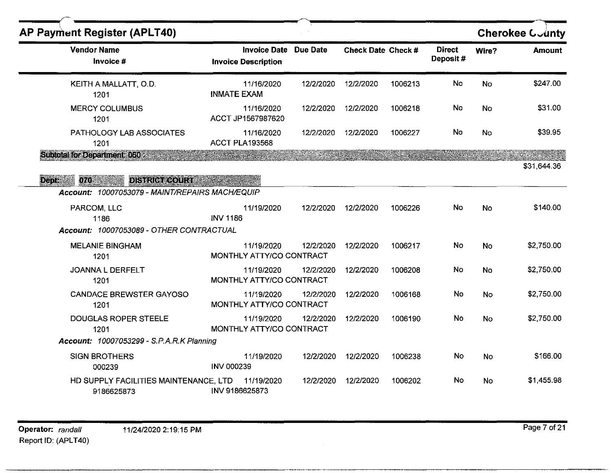| <b>AP Payment Register (APLT40)</b>                                                          |                                                            |           |                    |         |                           |           | Cherokee County |
|----------------------------------------------------------------------------------------------|------------------------------------------------------------|-----------|--------------------|---------|---------------------------|-----------|-----------------|
| <b>Vendor Name</b><br>Invoice #                                                              | <b>Invoice Date Due Date</b><br><b>Invoice Description</b> |           | Check Date Check # |         | <b>Direct</b><br>Deposit# | Wire?     | <b>Amount</b>   |
| KEITH A MALLATT, O.D.<br>1201                                                                | 11/16/2020<br><b>INMATE EXAM</b>                           | 12/2/2020 | 12/2/2020          | 1006213 | No                        | No        | \$247.00        |
| <b>MERCY COLUMBUS</b><br>1201                                                                | 11/16/2020<br>ACCT JP1567987620                            | 12/2/2020 | 12/2/2020          | 1006218 | No                        | No        | \$31.00         |
| PATHOLOGY LAB ASSOCIATES<br>1201                                                             | 11/16/2020<br><b>ACCT PLA193568</b>                        | 12/2/2020 | 12/2/2020          | 1006227 | No.                       | No        | \$39.95         |
| <b>Subtotal for Department: 060 Stems</b>                                                    |                                                            |           |                    |         |                           |           | \$31,644.36     |
| 070 100<br><b>DISTRICT COURT</b><br>Dept:<br>Account: 10007053079 - MAINT/REPAIRS MACH/EQUIP |                                                            |           |                    |         |                           |           |                 |
| PARCOM, LLC<br>1186                                                                          | 11/19/2020<br><b>INV 1186</b>                              | 12/2/2020 | 12/2/2020          | 1006226 | No                        | <b>No</b> | \$140.00        |
| Account: 10007053089 - OTHER CONTRACTUAL<br><b>MELANIE BINGHAM</b><br>1201                   | 11/19/2020<br>MONTHLY ATTY/CO CONTRACT                     | 12/2/2020 | 12/2/2020          | 1006217 | No                        | <b>No</b> | \$2,750.00      |
| JOANNA L DERFELT<br>1201                                                                     | 11/19/2020<br>MONTHLY ATTY/CO CONTRACT                     | 12/2/2020 | 12/2/2020          | 1006208 | No                        | <b>No</b> | \$2,750.00      |
| <b>CANDACE BREWSTER GAYOSO</b><br>1201                                                       | 11/19/2020<br>MONTHLY ATTY/CO CONTRACT                     | 12/2/2020 | 12/2/2020          | 1006168 | No                        | <b>No</b> | \$2,750.00      |
| <b>DOUGLAS ROPER STEELE</b><br>1201                                                          | 11/19/2020<br>MONTHLY ATTY/CO CONTRACT                     | 12/2/2020 | 12/2/2020          | 1006190 | No                        | <b>No</b> | \$2,750.00      |
| Account: 10007053299 - S.P.A.R.K Planning                                                    |                                                            |           |                    |         |                           |           |                 |
| <b>SIGN BROTHERS</b><br>000239                                                               | 11/19/2020<br><b>INV 000239</b>                            | 12/2/2020 | 12/2/2020          | 1006238 | No                        | <b>No</b> | \$166.00        |
| HD SUPPLY FACILITIES MAINTENANCE, LTD<br>9186625873                                          | 11/19/2020<br>INV 9186625873                               | 12/2/2020 | 12/2/2020          | 1006202 | No                        | No.       | \$1,455.98      |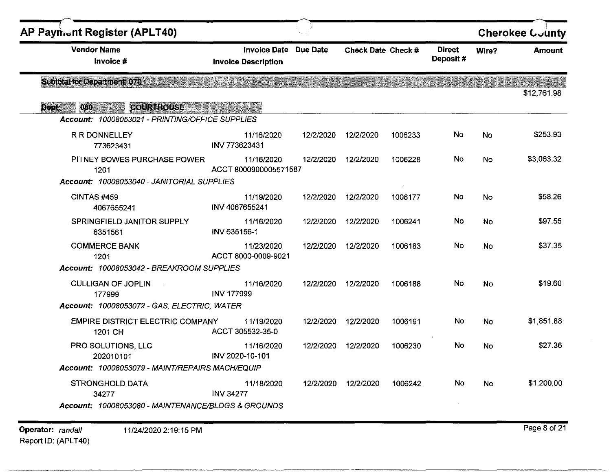| <b>AP Payment Register (APLT40)</b>                                                            |                                                            |                 |                    |         |                           |           | <b>Cherokee County</b> |
|------------------------------------------------------------------------------------------------|------------------------------------------------------------|-----------------|--------------------|---------|---------------------------|-----------|------------------------|
| <b>Vendor Name</b><br>Invoice #                                                                | <b>Invoice Date Due Date</b><br><b>Invoice Description</b> |                 | Check Date Check # |         | <b>Direct</b><br>Deposit# | Wire?     | <b>Amount</b>          |
| <b>Subtotal for Department: 070 : 38</b>                                                       |                                                            | Te villis skotl |                    |         |                           |           | \$12,761.98            |
| 080 1998<br>COURTHOUSE<br><b>Deptimized</b><br>Account: 10008053021 - PRINTING/OFFICE SUPPLIES |                                                            |                 |                    |         |                           |           |                        |
| R R DONNELLEY<br>773623431                                                                     | 11/16/2020<br>INV 773623431                                | 12/2/2020       | 12/2/2020          | 1006233 | No                        | No        | \$253.93               |
| PITNEY BOWES PURCHASE POWER<br>1201                                                            | 11/16/2020<br>ACCT 8000900005571587                        | 12/2/2020       | 12/2/2020          | 1006228 | No.                       | <b>No</b> | \$3,063.32             |
| Account: 10008053040 - JANITORIAL SUPPLIES                                                     |                                                            |                 |                    |         |                           |           |                        |
| CINTAS#459<br>4067655241                                                                       | 11/19/2020<br>INV 4067655241                               | 12/2/2020       | 12/2/2020          | 1006177 | No                        | No        | \$58.26                |
| SPRINGFIELD JANITOR SUPPLY<br>6351561                                                          | 11/16/2020<br>INV 635156-1                                 | 12/2/2020       | 12/2/2020          | 1006241 | No                        | No        | \$97.55                |
| <b>COMMERCE BANK</b><br>1201                                                                   | 11/23/2020<br>ACCT 8000-0009-9021                          | 12/2/2020       | 12/2/2020          | 1006183 | No.                       | <b>No</b> | \$37.35                |
| Account: 10008053042 - BREAKROOM SUPPLIES                                                      |                                                            |                 |                    |         |                           |           |                        |
| <b>CULLIGAN OF JOPLIN</b><br>177999                                                            | 11/16/2020<br><b>INV 177999</b>                            | 12/2/2020       | 12/2/2020          | 1006188 | No                        | No        | \$19.60                |
| Account: 10008053072 - GAS, ELECTRIC, WATER                                                    |                                                            |                 |                    |         |                           |           |                        |
| <b>EMPIRE DISTRICT ELECTRIC COMPANY</b><br>1201 CH                                             | 11/19/2020<br>ACCT 305532-35-0                             | 12/2/2020       | 12/2/2020          | 1006191 | No                        | No        | \$1,851.88             |
| PRO SOLUTIONS, LLC<br>202010101                                                                | 11/16/2020<br>INV 2020-10-101                              | 12/2/2020       | 12/2/2020          | 1006230 | No                        | No        | \$27.36                |
| Account: 10008053079 - MAINT/REPAIRS MACH/EQUIP                                                |                                                            |                 |                    |         |                           |           |                        |
| <b>STRONGHOLD DATA</b><br>34277<br>Account: 10008053080 - MAINTENANCE/BLDGS & GROUNDS          | 11/18/2020<br><b>INV 34277</b>                             | 12/2/2020       | 12/2/2020          | 1006242 | No                        | <b>No</b> | \$1,200.00             |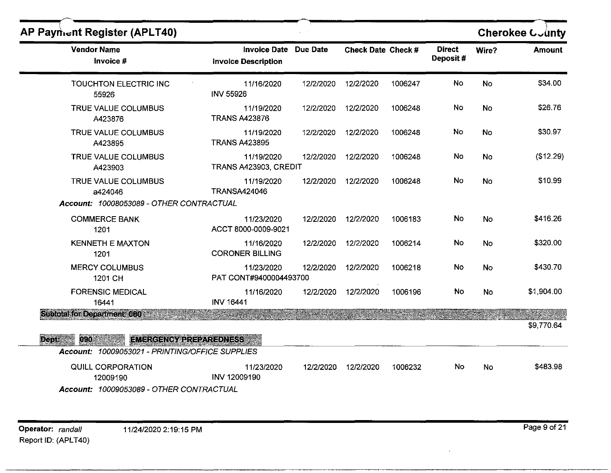| <b>AP Payment Register (APLT40)</b>                 |                                                   |                 |                           |         |                           |           | Cherokee County |
|-----------------------------------------------------|---------------------------------------------------|-----------------|---------------------------|---------|---------------------------|-----------|-----------------|
| <b>Vendor Name</b><br>Invoice #                     | <b>Invoice Date</b><br><b>Invoice Description</b> | <b>Due Date</b> | <b>Check Date Check #</b> |         | <b>Direct</b><br>Deposit# | Wire?     | <b>Amount</b>   |
| TOUCHTON ELECTRIC INC<br>55926                      | 11/16/2020<br><b>INV 55926</b>                    | 12/2/2020       | 12/2/2020                 | 1006247 | No                        | No        | \$34.00         |
| TRUE VALUE COLUMBUS<br>A423876                      | 11/19/2020<br><b>TRANS A423876</b>                | 12/2/2020       | 12/2/2020                 | 1006248 | No                        | <b>No</b> | \$26.76         |
| TRUE VALUE COLUMBUS<br>A423895                      | 11/19/2020<br><b>TRANS A423895</b>                | 12/2/2020       | 12/2/2020                 | 1006248 | No                        | No        | \$30.97         |
| TRUE VALUE COLUMBUS<br>A423903                      | 11/19/2020<br>TRANS A423903, CREDIT               | 12/2/2020       | 12/2/2020                 | 1006248 | No                        | No        | (\$12.29)       |
| <b>TRUE VALUE COLUMBUS</b><br>a424046               | 11/19/2020<br><b>TRANSA424046</b>                 | 12/2/2020       | 12/2/2020                 | 1006248 | No                        | <b>No</b> | \$10.99         |
| Account: 10008053089 - OTHER CONTRACTUAL            |                                                   |                 |                           |         |                           |           |                 |
| <b>COMMERCE BANK</b><br>1201                        | 11/23/2020<br>ACCT 8000-0009-9021                 | 12/2/2020       | 12/2/2020                 | 1006183 | No                        | No        | \$416.26        |
| <b>KENNETH E MAXTON</b><br>1201                     | 11/16/2020<br><b>CORONER BILLING</b>              | 12/2/2020       | 12/2/2020                 | 1006214 | No                        | No        | \$320.00        |
| <b>MERCY COLUMBUS</b><br>1201 CH                    | 11/23/2020<br>PAT CONT#9400004493700              | 12/2/2020       | 12/2/2020                 | 1006218 | No                        | No        | \$430.70        |
| <b>FORENSIC MEDICAL</b><br>16441                    | 11/16/2020<br>INV 16441                           | 12/2/2020       | 12/2/2020                 | 1006196 | No                        | <b>No</b> | \$1,904.00      |
| <b>Subtotal for Department: 080 1891</b>            |                                                   |                 |                           |         |                           |           | \$9,770.64      |
| Dept:<br>090 - 190<br><b>EMERGENCY PREPAREDNESS</b> |                                                   |                 |                           |         |                           |           |                 |
| Account: 10009053021 - PRINTING/OFFICE SUPPLIES     |                                                   |                 |                           |         |                           |           |                 |
| QUILL CORPORATION<br>12009190                       | 11/23/2020<br>INV 12009190                        | 12/2/2020       | 12/2/2020                 | 1006232 | No                        | <b>No</b> | \$483.98        |
| Account: 10009053089 - OTHER CONTRACTUAL            |                                                   |                 |                           |         |                           |           |                 |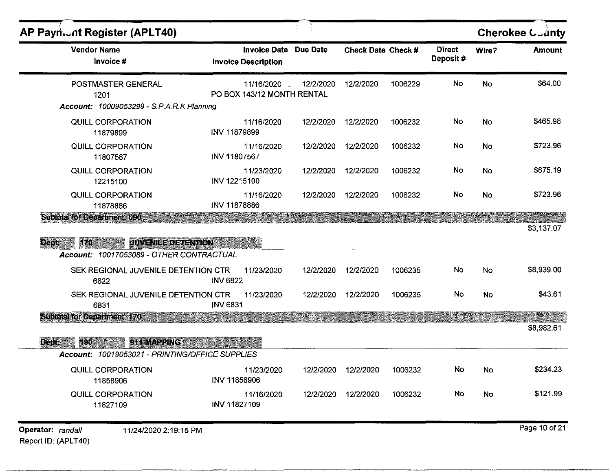| <b>Vendor Name</b>                              |                             | <b>Due Date</b>                                                                                                                                           |                                                                                                                                                                     |                                                               | <b>Direct</b>                 | Wire?     | <b>Amount</b> |
|-------------------------------------------------|-----------------------------|-----------------------------------------------------------------------------------------------------------------------------------------------------------|---------------------------------------------------------------------------------------------------------------------------------------------------------------------|---------------------------------------------------------------|-------------------------------|-----------|---------------|
| Invoice #                                       |                             |                                                                                                                                                           |                                                                                                                                                                     |                                                               | Deposit#                      |           |               |
| POSTMASTER GENERAL<br>1201                      |                             | 12/2/2020<br>$\mathcal{L}_{\mathcal{L}}$                                                                                                                  | 12/2/2020                                                                                                                                                           | 1006229                                                       | No                            | No        | \$64.00       |
|                                                 |                             |                                                                                                                                                           |                                                                                                                                                                     |                                                               |                               |           |               |
| QUILL CORPORATION<br>11879899                   | INV 11879899                | 12/2/2020                                                                                                                                                 | 12/2/2020                                                                                                                                                           | 1006232                                                       | No                            | No        | \$465.98      |
| <b>QUILL CORPORATION</b><br>11807567            | INV 11807567                |                                                                                                                                                           | 12/2/2020                                                                                                                                                           | 1006232                                                       | No                            | <b>No</b> | \$723.96      |
| QUILL CORPORATION<br>12215100                   | INV 12215100                |                                                                                                                                                           | 12/2/2020                                                                                                                                                           | 1006232                                                       | No                            | No        | \$675.19      |
| <b>QUILL CORPORATION</b><br>11878886            | INV 11878886                |                                                                                                                                                           | 12/2/2020                                                                                                                                                           | 1006232                                                       | No                            | No        | \$723.96      |
|                                                 |                             |                                                                                                                                                           |                                                                                                                                                                     |                                                               |                               |           |               |
|                                                 |                             |                                                                                                                                                           |                                                                                                                                                                     |                                                               |                               |           | \$3,137.07    |
|                                                 |                             |                                                                                                                                                           |                                                                                                                                                                     |                                                               |                               |           |               |
|                                                 |                             |                                                                                                                                                           |                                                                                                                                                                     |                                                               |                               |           |               |
| 6822                                            | <b>INV 6822</b>             |                                                                                                                                                           |                                                                                                                                                                     |                                                               |                               |           | \$8,939.00    |
|                                                 |                             | 12/2/2020                                                                                                                                                 |                                                                                                                                                                     |                                                               |                               |           |               |
| SEK REGIONAL JUVENILE DETENTION CTR             | 11/23/2020                  |                                                                                                                                                           | 12/2/2020                                                                                                                                                           | 1006235                                                       | No                            | No        | \$43.61       |
| 6831                                            | <b>INV 6831</b>             |                                                                                                                                                           |                                                                                                                                                                     |                                                               |                               |           |               |
| <b>Subtotal for Department 470:</b>             |                             |                                                                                                                                                           |                                                                                                                                                                     |                                                               |                               |           |               |
| 911 MAPPING                                     |                             |                                                                                                                                                           |                                                                                                                                                                     |                                                               |                               |           | \$8,982.61    |
| Account: 10019053021 - PRINTING/OFFICE SUPPLIES |                             |                                                                                                                                                           |                                                                                                                                                                     |                                                               |                               |           |               |
| <b>QUILL CORPORATION</b><br>11858906            | 11/23/2020<br>INV 11858906  | 12/2/2020                                                                                                                                                 | 12/2/2020                                                                                                                                                           | 1006232                                                       | No                            | No        | \$234.23      |
|                                                 | Subtotaktor Department 090. | Account: 10009053299 - S.P.A.R.K Planning<br><b>JUVENILE DETENTION</b><br>Account: 10017053089 - OTHER CONTRACTUAL<br>SEK REGIONAL JUVENILE DETENTION CTR | <b>Invoice Date</b><br><b>Invoice Description</b><br>11/16/2020<br>PO BOX 143/12 MONTH RENTAL<br>11/16/2020<br>11/16/2020<br>11/23/2020<br>11/16/2020<br>11/23/2020 | 12/2/2020<br>12/2/2020<br>12/2/2020<br>12/2/2020<br>12/2/2020 | Check Date Check #<br>1006235 | No        | No            |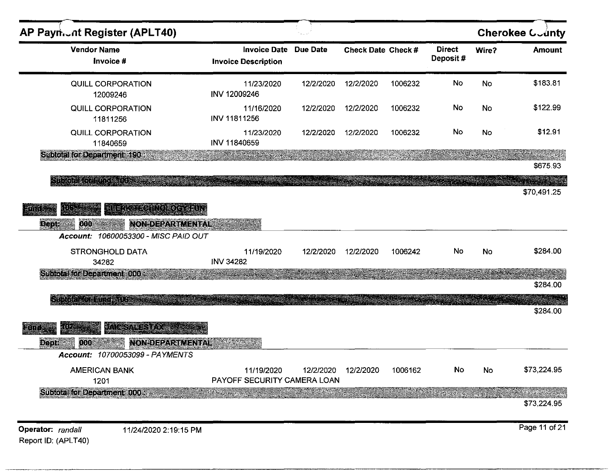| AP Payn.of Register (APLT40)                                                                                                  |                                                   |                 |                    |         |                           |       | <b>Cherokee County</b>               |
|-------------------------------------------------------------------------------------------------------------------------------|---------------------------------------------------|-----------------|--------------------|---------|---------------------------|-------|--------------------------------------|
| <b>Vendor Name</b><br>Invoice #                                                                                               | <b>Invoice Date</b><br><b>Invoice Description</b> | <b>Due Date</b> | Check Date Check # |         | <b>Direct</b><br>Deposit# | Wire? | <b>Amount</b>                        |
| QUILL CORPORATION<br>12009246                                                                                                 | 11/23/2020<br>INV 12009246                        | 12/2/2020       | 12/2/2020          | 1006232 | No                        | No    | \$183.81                             |
| QUILL CORPORATION<br>11811256                                                                                                 | 11/16/2020<br>INV 11811256                        | 12/2/2020       | 12/2/2020          | 1006232 | No                        | No    | \$122.99                             |
| QUILL CORPORATION<br>11840659                                                                                                 | 11/23/2020<br>INV 11840659                        | 12/2/2020       | 12/2/2020          | 1006232 | No                        | No    | \$12.91                              |
| <b>Subtotal for Department 190 ass</b>                                                                                        |                                                   |                 |                    |         |                           |       | \$675.93                             |
| SI DOLLARI TARABI                                                                                                             |                                                   |                 |                    |         |                           |       | \$70,491.25                          |
| (કિંગ કિ<br><b>NON-DEPARTMENTAL</b><br><b>Dept.</b><br>000<br><b>SEARCH AND STATE</b><br>Account: 10600053300 - MISC PAID OUT |                                                   |                 |                    |         |                           |       |                                      |
| <b>STRONGHOLD DATA</b><br>34282                                                                                               | 11/19/2020<br><b>INV 34282</b>                    | 12/2/2020       | 12/2/2020          | 1006242 | No                        | No    | \$284.00                             |
| Subteral for Department 000 as                                                                                                |                                                   |                 |                    |         |                           |       | \$284.00                             |
| <b>A THE PARTIES OF A LIGHT COMPANY</b>                                                                                       |                                                   |                 |                    |         |                           |       | \$284.00                             |
| xill.<br><b>Enne</b><br><b>NON-DEPARTMENTAL</b><br>Dept: Water<br>000<br>Account: 10700053099 - PAYMENTS                      |                                                   |                 |                    |         |                           |       |                                      |
| <b>AMERICAN BANK</b><br>1201                                                                                                  | 11/19/2020<br>PAYOFF SECURITY CAMERA LOAN         | 12/2/2020       | 12/2/2020          | 1006162 | No                        | No    | \$73,224.95                          |
| Subtotal for Department 1000                                                                                                  |                                                   |                 |                    |         |                           |       | en de la provincia de<br>\$73,224.95 |
| Operator: randall<br>11/24/2020 2:19:15 PM<br>Report ID: (APLT40)                                                             |                                                   |                 |                    |         |                           |       | Page 11 of 21                        |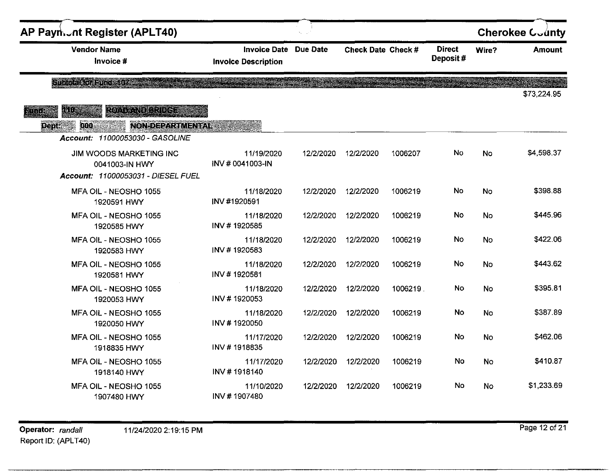| AP Payn. nt Register (APLT40)                                                                                                     |                                                   |                 |                    |         |                           |           | <b>Cherokee County</b> |
|-----------------------------------------------------------------------------------------------------------------------------------|---------------------------------------------------|-----------------|--------------------|---------|---------------------------|-----------|------------------------|
| <b>Vendor Name</b><br>Invoice #                                                                                                   | <b>Invoice Date</b><br><b>Invoice Description</b> | <b>Due Date</b> | Check Date Check # |         | <b>Direct</b><br>Deposit# | Wire?     | <b>Amount</b>          |
| Shace horspness () and the                                                                                                        |                                                   |                 |                    |         |                           |           | \$73,224.95            |
| <b>RONE NOTERFORD</b><br>140.<br><b>Fund</b><br><b>NON-DEPARTMENTAL ACTION</b><br>Dept:<br>000<br>Account: 11000053030 - GASOLINE |                                                   |                 |                    |         |                           |           |                        |
| JIM WOODS MARKETING INC<br>0041003-IN HWY<br>Account: 11000053031 - DIESEL FUEL                                                   | 11/19/2020<br>INV #0041003-IN                     | 12/2/2020       | 12/2/2020          | 1006207 | No                        | No        | \$4,598.37             |
| MFA OIL - NEOSHO 1055<br>1920591 HWY                                                                                              | 11/18/2020<br>INV #1920591                        | 12/2/2020       | 12/2/2020          | 1006219 | No                        | No        | \$398.88               |
| MFA OIL - NEOSHO 1055<br>1920585 HWY                                                                                              | 11/18/2020<br>INV #1920585                        | 12/2/2020       | 12/2/2020          | 1006219 | No.                       | No        | \$445.96               |
| MFA OIL - NEOSHO 1055<br>1920583 HWY                                                                                              | 11/18/2020<br>INV #1920583                        | 12/2/2020       | 12/2/2020          | 1006219 | No                        | No        | \$422.06               |
| MFA OIL - NEOSHO 1055<br>1920581 HWY                                                                                              | 11/18/2020<br>INV #1920581                        | 12/2/2020       | 12/2/2020          | 1006219 | No                        | No        | \$443.62               |
| MFA OIL - NEOSHO 1055<br>1920053 HWY                                                                                              | 11/18/2020<br>INV #1920053                        | 12/2/2020       | 12/2/2020          | 1006219 | <b>No</b>                 | No        | \$395.81               |
| MFA OIL - NEOSHO 1055<br>1920050 HWY                                                                                              | 11/18/2020<br>INV #1920050                        | 12/2/2020       | 12/2/2020          | 1006219 | No                        | No        | \$387.89               |
| MFA OIL - NEOSHO 1055<br>1918835 HWY                                                                                              | 11/17/2020<br>INV #1918835                        | 12/2/2020       | 12/2/2020          | 1006219 | No.                       | No        | \$462.06               |
| MFA OIL - NEOSHO 1055<br>1918140 HWY                                                                                              | 11/17/2020<br>INV #1918140                        | 12/2/2020       | 12/2/2020          | 1006219 | No                        | <b>No</b> | \$410.87               |
| MFA OIL - NEOSHO 1055<br>1907480 HWY                                                                                              | 11/10/2020<br>INV #1907480                        | 12/2/2020       | 12/2/2020          | 1006219 | No                        | No        | \$1,233.69             |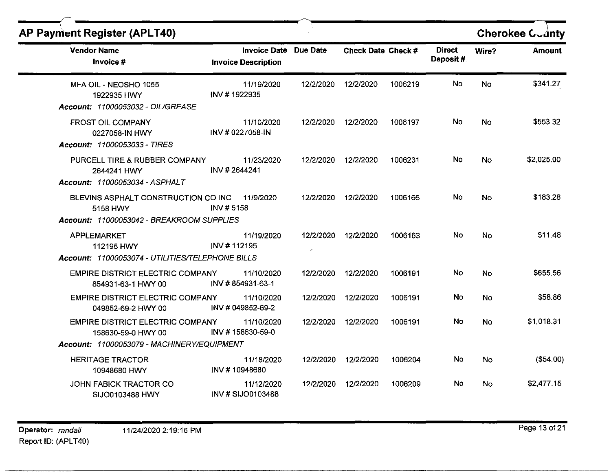| <b>AP Payment Register (APLT40)</b>                                                          |                                                   |                                       |                    |         |                           |       | <b>Cherokee Coanty</b> |
|----------------------------------------------------------------------------------------------|---------------------------------------------------|---------------------------------------|--------------------|---------|---------------------------|-------|------------------------|
| <b>Vendor Name</b><br>Invoice #                                                              | <b>Invoice Date</b><br><b>Invoice Description</b> | <b>Due Date</b>                       | Check Date Check # |         | <b>Direct</b><br>Deposit# | Wire? | <b>Amount</b>          |
| MFA OIL - NEOSHO 1055<br>1922935 HWY<br>Account: 11000053032 - OIL/GREASE                    | 11/19/2020<br>INV #1922935                        | 12/2/2020                             | 12/2/2020          | 1006219 | No                        | No    | \$341.27               |
| <b>FROST OIL COMPANY</b><br>0227058-IN HWY<br>Account: 11000053033 - TIRES                   | 11/10/2020<br>INV #0227058-IN                     | 12/2/2020                             | 12/2/2020          | 1006197 | No.                       | No    | \$553.32               |
| PURCELL TIRE & RUBBER COMPANY<br>2644241 HWY<br>Account: 11000053034 - ASPHALT               | 11/23/2020<br>INV #2644241                        | 12/2/2020                             | 12/2/2020          | 1006231 | No                        | No    | \$2,025.00             |
| BLEVINS ASPHALT CONSTRUCTION CO INC<br>5158 HWY<br>Account: 11000053042 - BREAKROOM SUPPLIES | 11/9/2020<br>INV #5158                            | 12/2/2020                             | 12/2/2020          | 1006166 | No                        | No    | \$183.28               |
| <b>APPLEMARKET</b><br>112195 HWY<br>Account: 11000053074 - UTILITIES/TELEPHONE BILLS         | 11/19/2020<br>INV #112195                         | 12/2/2020<br>$\overline{\phantom{a}}$ | 12/2/2020          | 1006163 | No                        | No    | \$11.48                |
| <b>EMPIRE DISTRICT ELECTRIC COMPANY</b><br>854931-63-1 HWY 00                                | 11/10/2020<br>INV #854931-63-1                    | 12/2/2020                             | 12/2/2020          | 1006191 | No                        | No    | \$655.56               |
| <b>EMPIRE DISTRICT ELECTRIC COMPANY</b><br>049852-69-2 HWY 00                                | 11/10/2020<br>INV # 049852-69-2                   | 12/2/2020                             | 12/2/2020          | 1006191 | No                        | No    | \$58.86                |
| EMPIRE DISTRICT ELECTRIC COMPANY<br>158630-59-0 HWY 00                                       | 11/10/2020<br>INV #158630-59-0                    | 12/2/2020                             | 12/2/2020          | 1006191 | No                        | No    | \$1,018.31             |
| Account: 11000053079 - MACHINERY/EQUIPMENT                                                   |                                                   |                                       |                    |         |                           |       |                        |
| <b>HERITAGE TRACTOR</b><br>10948680 HWY                                                      | 11/18/2020<br>INV#10948680                        | 12/2/2020                             | 12/2/2020          | 1006204 | No                        | No    | (\$54.00)              |
| JOHN FABICK TRACTOR CO<br>SIJO0103488 HWY                                                    | 11/12/2020<br>INV # SIJO0103488                   | 12/2/2020                             | 12/2/2020          | 1006209 | No.                       | No    | \$2,477.15             |

~~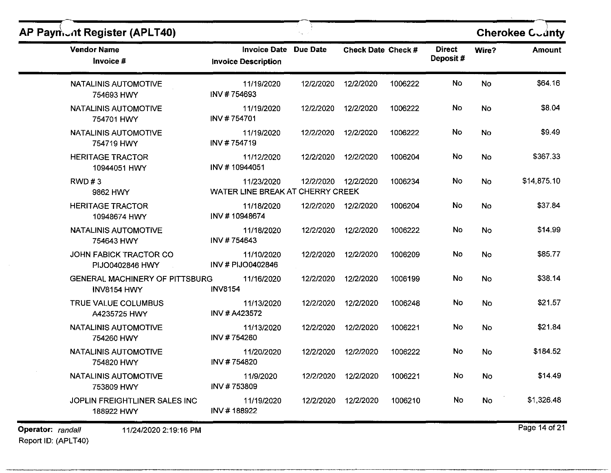| AP Paymont Register (APLT40)                  |                                                            |           |                    |         |                           |           | <b>Cherokee Coanty</b> |
|-----------------------------------------------|------------------------------------------------------------|-----------|--------------------|---------|---------------------------|-----------|------------------------|
| <b>Vendor Name</b><br>Invoice #               | <b>Invoice Date Due Date</b><br><b>Invoice Description</b> |           | Check Date Check # |         | <b>Direct</b><br>Deposit# | Wire?     | <b>Amount</b>          |
| NATALINIS AUTOMOTIVE<br>754693 HWY            | 11/19/2020<br>INV #754693                                  | 12/2/2020 | 12/2/2020          | 1006222 | No                        | No        | \$64.16                |
| <b>NATALINIS AUTOMOTIVE</b><br>754701 HWY     | 11/19/2020<br>INV #754701                                  | 12/2/2020 | 12/2/2020          | 1006222 | No                        | No        | \$8.04                 |
| NATALINIS AUTOMOTIVE<br>754719 HWY            | 11/19/2020<br>INV #754719                                  | 12/2/2020 | 12/2/2020          | 1006222 | No                        | No        | \$9.49                 |
| <b>HERITAGE TRACTOR</b><br>10944051 HWY       | 11/12/2020<br>INV #10944051                                | 12/2/2020 | 12/2/2020          | 1006204 | No                        | No        | \$367.33               |
| RWD#3<br>9862 HWY                             | 11/23/2020<br>WATER LINE BREAK AT CHERRY CREEK             | 12/2/2020 | 12/2/2020          | 1006234 | No                        | No        | \$14,875.10            |
| <b>HERITAGE TRACTOR</b><br>10948674 HWY       | 11/18/2020<br>INV #10948674                                | 12/2/2020 | 12/2/2020          | 1006204 | No                        | <b>No</b> | \$37.84                |
| <b>NATALINIS AUTOMOTIVE</b><br>754643 HWY     | 11/18/2020<br>INV #754643                                  | 12/2/2020 | 12/2/2020          | 1006222 | No                        | No        | \$14.99                |
| JOHN FABICK TRACTOR CO<br>PIJO0402846 HWY     | 11/10/2020<br>INV # PIJO0402846                            | 12/2/2020 | 12/2/2020          | 1006209 | No                        | No        | \$85.77                |
| GENERAL MACHINERY OF PITTSBURG<br>INV8154 HWY | 11/16/2020<br><b>INV8154</b>                               | 12/2/2020 | 12/2/2020          | 1006199 | No                        | <b>No</b> | \$38.14                |
| TRUE VALUE COLUMBUS<br>A4235725 HWY           | 11/13/2020<br>INV # A423572                                | 12/2/2020 | 12/2/2020          | 1006248 | No                        | No        | \$21.57                |
| <b>NATALINIS AUTOMOTIVE</b><br>754260 HWY     | 11/13/2020<br>INV #754260                                  | 12/2/2020 | 12/2/2020          | 1006221 | No                        | No        | \$21.84                |
| <b>NATALINIS AUTOMOTIVE</b><br>754820 HWY     | 11/20/2020<br>INV #754820                                  | 12/2/2020 | 12/2/2020          | 1006222 | No                        | No        | \$184.52               |
| NATALINIS AUTOMOTIVE<br>753809 HWY            | 11/9/2020<br>INV #753809                                   | 12/2/2020 | 12/2/2020          | 1006221 | No                        | No        | \$14.49                |
| JOPLIN FREIGHTLINER SALES INC<br>188922 HWY   | 11/19/2020<br>INV #188922                                  | 12/2/2020 | 12/2/2020          | 1006210 | No                        | No        | \$1,326.48             |
| Operator: randall<br>11/24/2020 2:19:16 PM    |                                                            |           |                    |         |                           |           | Page 14 of 21          |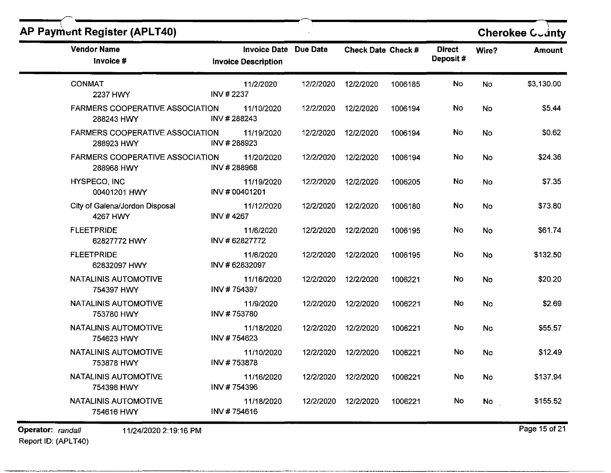| <b>Vendor Name</b><br>Invoice #                      | <b>Invoice Description</b>   | Invoice Date Due Date | Check Date Check # |         | <b>Direct</b><br>Deposit# | Wire?     | <b>Amount</b> |
|------------------------------------------------------|------------------------------|-----------------------|--------------------|---------|---------------------------|-----------|---------------|
| <b>CONMAT</b><br>2237 HWY                            | 11/2/2020<br>INV #2237       | 12/2/2020             | 12/2/2020          | 1006185 | No                        | No        | \$3,130.00    |
| <b>FARMERS COOPERATIVE ASSOCIATION</b><br>288243 HWY | 11/10/2020<br>INV #288243    | 12/2/2020             | 12/2/2020          | 1006194 | No                        | No        | \$5.44        |
| <b>FARMERS COOPERATIVE ASSOCIATION</b><br>288923 HWY | 11/19/2020<br>INV #288923    | 12/2/2020             | 12/2/2020          | 1006194 | No                        | No        | \$0.62        |
| <b>FARMERS COOPERATIVE ASSOCIATION</b><br>288968 HWY | 11/20/2020<br>INV #288968    | 12/2/2020             | 12/2/2020          | 1006194 | No                        | <b>No</b> | \$24.36       |
| HYSPECO, INC<br>00401201 HWY                         | 11/19/2020<br>INV # 00401201 | 12/2/2020             | 12/2/2020          | 1006205 | No                        | No        | \$7.35        |
| City of Galena/Jordon Disposal<br>4267 HWY           | 11/12/2020<br>INV #4267      | 12/2/2020             | 12/2/2020          | 1006180 | No                        | No        | \$73.80       |
| <b>FLEETPRIDE</b><br>62827772 HWY                    | 11/6/2020<br>INV #62827772   | 12/2/2020             | 12/2/2020          | 1006195 | No                        | No        | \$61.74       |
| <b>FLEETPRIDE</b><br>62832097 HWY                    | 11/6/2020<br>INV #62832097   | 12/2/2020             | 12/2/2020          | 1006195 | No                        | <b>No</b> | \$132.50      |
| <b>NATALINIS AUTOMOTIVE</b><br>754397 HWY            | 11/16/2020<br>INV #754397    | 12/2/2020             | 12/2/2020          | 1006221 | No                        | No        | \$20.20       |
| <b>NATALINIS AUTOMOTIVE</b><br>753780 HWY            | 11/9/2020<br>INV #753780     | 12/2/2020             | 12/2/2020          | 1006221 | No                        | No        | \$2.69        |
| NATALINIS AUTOMOTIVE<br>754623 HWY                   | 11/18/2020<br>INV #754623    | 12/2/2020             | 12/2/2020          | 1006221 | No                        | No        | \$55.57       |
| NATALINIS AUTOMOTIVE<br>753878 HWY                   | 11/10/2020<br>INV#753878     | 12/2/2020             | 12/2/2020          | 1006221 | No                        | No        | \$12.49       |
| NATALINIS AUTOMOTIVE<br>754396 HWY                   | 11/16/2020<br>INV #754396    | 12/2/2020             | 12/2/2020          | 1006221 | No                        | No        | \$137.94      |
| NATALINIS AUTOMOTIVE<br>754616 HWY                   | 11/18/2020<br>INV #754616    | 12/2/2020             | 12/2/2020          | 1006221 | No                        | No        | \$155.52      |

Report 10: (APLT40)

 $\overline{$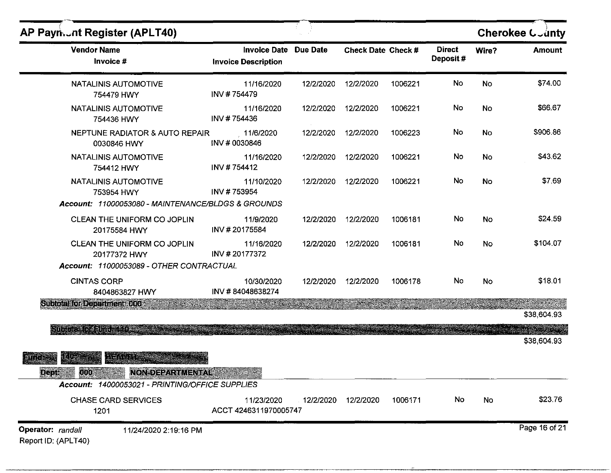| AP Payn.  nt Register (APLT40)                                                                                                                                                                                                 |                                                     |           |                     |         |                            |           | Cherokee County |
|--------------------------------------------------------------------------------------------------------------------------------------------------------------------------------------------------------------------------------|-----------------------------------------------------|-----------|---------------------|---------|----------------------------|-----------|-----------------|
| <b>Vendor Name</b><br>Invoice #                                                                                                                                                                                                | Invoice Date Due Date<br><b>Invoice Description</b> |           | Check Date Check #  |         | <b>Direct</b><br>Deposit # | Wire?     | <b>Amount</b>   |
| NATALINIS AUTOMOTIVE<br>754479 HWY                                                                                                                                                                                             | 11/16/2020<br>INV #754479                           | 12/2/2020 | 12/2/2020           | 1006221 | No                         | <b>No</b> | \$74.00         |
| NATALINIS AUTOMOTIVE<br>754436 HWY                                                                                                                                                                                             | 11/16/2020<br>INV #754436                           |           | 12/2/2020 12/2/2020 | 1006221 | No                         | No        | \$66.67         |
| NEPTUNE RADIATOR & AUTO REPAIR<br>0030846 HWY                                                                                                                                                                                  | 11/6/2020<br>INV # 0030846                          | 12/2/2020 | 12/2/2020           | 1006223 | No                         | No        | \$906.86        |
| <b>NATALINIS AUTOMOTIVE</b><br>754412 HWY                                                                                                                                                                                      | 11/16/2020<br>INV #754412                           |           | 12/2/2020 12/2/2020 | 1006221 | No                         | No        | \$43.62         |
| NATALINIS AUTOMOTIVE<br>753954 HWY<br>Account: 11000053080 - MAINTENANCE/BLDGS & GROUNDS                                                                                                                                       | 11/10/2020<br>INV #753954                           | 12/2/2020 | 12/2/2020           | 1006221 | No                         | No        | \$7.69          |
| CLEAN THE UNIFORM CO JOPLIN<br>20175584 HWY                                                                                                                                                                                    | 11/9/2020<br>INV #20175584                          | 12/2/2020 | 12/2/2020           | 1006181 | No                         | No        | \$24.59         |
| CLEAN THE UNIFORM CO JOPLIN<br>20177372 HWY<br>Account: 11000053089 - OTHER CONTRACTUAL                                                                                                                                        | 11/16/2020<br>INV #20177372                         | 12/2/2020 | 12/2/2020           | 1006181 | No.                        | <b>No</b> | \$104.07        |
| <b>CINTAS CORP</b><br>8404863827 HWY                                                                                                                                                                                           | 10/30/2020<br>INV #84048638274                      |           | 12/2/2020 12/2/2020 | 1006178 | No.                        | No        | \$18.01         |
| Subidial for Department (000 15 1999)                                                                                                                                                                                          |                                                     |           |                     |         |                            |           | \$38,604.93     |
| Silon protection of the contribution of the contribution of the contribution of the contribution of the contribution of the contribution of the contribution of the contribution of the contribution of the contribution of th |                                                     |           |                     |         |                            |           | \$38,604.93     |
| 12 G<br><b>LEADARS</b><br>an it is.<br>000<br><b>Deptil</b><br><b>NON-DEPARTMENTAL</b>                                                                                                                                         | in a shekarar                                       |           |                     |         |                            |           |                 |
| Account: 14000053021 - PRINTING/OFFICE SUPPLIES                                                                                                                                                                                |                                                     |           |                     |         |                            |           |                 |
| <b>CHASE CARD SERVICES</b><br>1201                                                                                                                                                                                             | 11/23/2020<br>ACCT 4246311970005747                 | 12/2/2020 | 12/2/2020           | 1006171 | No                         | No        | \$23.76         |
| Operator: randall<br>11/24/2020 2:19:16 PM<br>Report ID: (APLT40)                                                                                                                                                              |                                                     |           |                     |         |                            |           | Page 16 of 21   |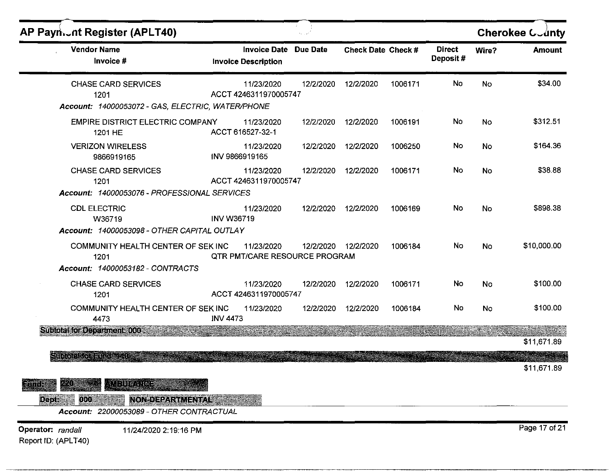| AP Payn of Register (APLT40)                                                                                 |                                                            |           |                    |         |                           |       | Cherokee County |
|--------------------------------------------------------------------------------------------------------------|------------------------------------------------------------|-----------|--------------------|---------|---------------------------|-------|-----------------|
| <b>Vendor Name</b><br>Invoice #                                                                              | <b>Invoice Date Due Date</b><br><b>Invoice Description</b> |           | Check Date Check # |         | <b>Direct</b><br>Deposit# | Wire? | <b>Amount</b>   |
| <b>CHASE CARD SERVICES</b><br>1201<br>Account: 14000053072 - GAS, ELECTRIC, WATER/PHONE                      | 11/23/2020<br>ACCT 4246311970005747                        | 12/2/2020 | 12/2/2020          | 1006171 | No                        | No    | \$34.00         |
| EMPIRE DISTRICT ELECTRIC COMPANY<br>1201 HE                                                                  | 11/23/2020<br>ACCT 616527-32-1                             | 12/2/2020 | 12/2/2020          | 1006191 | No                        | No    | \$312.51        |
| <b>VERIZON WIRELESS</b><br>9866919165                                                                        | 11/23/2020<br>INV 9866919165                               | 12/2/2020 | 12/2/2020          | 1006250 | No                        | No    | \$164.36        |
| <b>CHASE CARD SERVICES</b><br>1201<br>Account: 14000053076 - PROFESSIONAL SERVICES                           | 11/23/2020<br>ACCT 4246311970005747                        | 12/2/2020 | 12/2/2020          | 1006171 | No                        | No    | \$38.88         |
| <b>CDL ELECTRIC</b><br>W36719<br>Account: 14000053098 - OTHER CAPITAL OUTLAY                                 | 11/23/2020<br><b>INV W36719</b>                            | 12/2/2020 | 12/2/2020          | 1006169 | No                        | No    | \$898.38        |
| COMMUNITY HEALTH CENTER OF SEK INC<br>1201<br>Account: 14000053182 - CONTRACTS                               | 11/23/2020<br><b>QTR PMT/CARE RESOURCE PROGRAM</b>         | 12/2/2020 | 12/2/2020          | 1006184 | No                        | No    | \$10,000.00     |
| <b>CHASE CARD SERVICES</b><br>1201                                                                           | 11/23/2020<br>ACCT 4246311970005747                        | 12/2/2020 | 12/2/2020          | 1006171 | No                        | No    | \$100.00        |
| COMMUNITY HEALTH CENTER OF SEK INC<br>4473                                                                   | 11/23/2020<br><b>INV 4473</b>                              | 12/2/2020 | 12/2/2020          | 1006184 | No                        | No    | \$100.00        |
| Subtotal for Department: 000 au                                                                              |                                                            |           |                    |         |                           |       | \$11,671.89     |
| Since the stations of                                                                                        |                                                            |           |                    |         |                           |       | \$11,671.89     |
| <b>SLID MORTING</b><br>Filic<br>Dept.<br>NON-DEPARTMENTAL<br>000<br>Account: 22000053089 - OTHER CONTRACTUAL | inter-sempr                                                |           |                    |         |                           |       |                 |
| Operator: randall<br>11/24/2020 2:19:16 PM<br>Report ID: (APLT40)                                            |                                                            |           |                    |         |                           |       | Page 17 of 21   |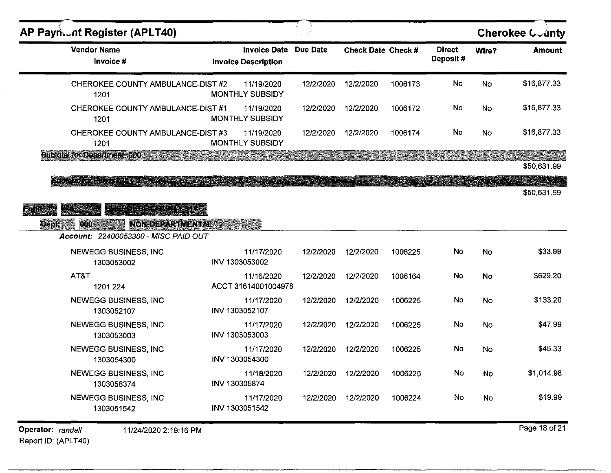| AP Payn. nt Register (APLT40)                                                               |                            |                                   |           |                    |         |                           |           | <b>Cherokee County</b> |
|---------------------------------------------------------------------------------------------|----------------------------|-----------------------------------|-----------|--------------------|---------|---------------------------|-----------|------------------------|
| <b>Vendor Name</b><br>Invoice #                                                             | <b>Invoice Description</b> | <b>Invoice Date Due Date</b>      |           | Check Date Check # |         | <b>Direct</b><br>Deposit# | Wire?     | <b>Amount</b>          |
| CHEROKEE COUNTY AMBULANCE-DIST #2<br>1201                                                   | <b>MONTHLY SUBSIDY</b>     | 11/19/2020                        | 12/2/2020 | 12/2/2020          | 1006173 | No                        | <b>No</b> | \$16,877.33            |
| CHEROKEE COUNTY AMBULANCE-DIST #1<br>1201                                                   | MONTHLY SUBSIDY            | 11/19/2020                        | 12/2/2020 | 12/2/2020          | 1006172 | No.                       | No        | \$16,877.33            |
| CHEROKEE COUNTY AMBULANCE-DIST #3<br>1201                                                   | MONTHLY SUBSIDY            | 11/19/2020                        | 12/2/2020 | 12/2/2020          | 1006174 | No.                       | No        | \$16,877.33            |
| <b>Subtotal for Department 000 messes</b>                                                   |                            |                                   |           |                    |         |                           |           | \$50,631.99            |
| Repertant vor alle bereite                                                                  |                            |                                   |           |                    |         |                           |           | \$50,631.99            |
| E HARA ETTER TILL EN EN EN EN EN EN ET<br>Finite<br>Dept:<br>000<br><b>NON-DEPARTMENTAL</b> |                            |                                   |           |                    |         |                           |           |                        |
| Account: 22400053300 - MISC PAID OUT                                                        |                            |                                   |           |                    |         |                           |           |                        |
| <b>NEWEGG BUSINESS, INC</b><br>1303053002                                                   | INV 1303053002             | 11/17/2020                        | 12/2/2020 | 12/2/2020          | 1006225 | <b>No</b>                 | <b>No</b> | \$33.99                |
| AT&T<br>1201 224                                                                            |                            | 11/16/2020<br>ACCT 31614001004978 | 12/2/2020 | 12/2/2020          | 1006164 | No                        | No        | \$629.20               |
| <b>NEWEGG BUSINESS, INC</b><br>1303052107                                                   | INV 1303052107             | 11/17/2020                        | 12/2/2020 | 12/2/2020          | 1006225 | No                        | No        | \$133.20               |
| <b>NEWEGG BUSINESS, INC</b><br>1303053003                                                   | INV 1303053003             | 11/17/2020                        | 12/2/2020 | 12/2/2020          | 1006225 | No                        | No        | \$47.99                |
| <b>NEWEGG BUSINESS, INC</b><br>1303054300                                                   | INV 1303054300             | 11/17/2020                        | 12/2/2020 | 12/2/2020          | 1006225 | No                        | No        | \$45.33                |
| <b>NEWEGG BUSINESS, INC</b><br>1303058374                                                   | INV 130305874              | 11/18/2020                        | 12/2/2020 | 12/2/2020          | 1006225 | No                        | No        | \$1,014.98             |
| <b>NEWEGG BUSINESS, INC</b><br>1303051542                                                   | INV 1303051542             | 11/17/2020                        | 12/2/2020 | 12/2/2020          | 1006224 | No                        | No        | \$19.99                |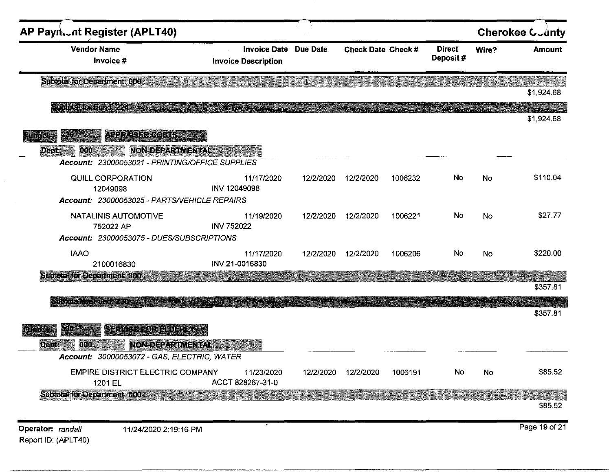| AP Payn  ot Register (APLT40)<br><b>Vendor Name</b><br>Invoice #                                                               | <b>Invoice Date</b><br><b>Invoice Description</b> | <b>Due Date</b> | <b>Check Date Check #</b> |         | <b>Direct</b><br>Deposit# | Wire?     | <b>Cherokee County</b><br><b>Amount</b> |
|--------------------------------------------------------------------------------------------------------------------------------|---------------------------------------------------|-----------------|---------------------------|---------|---------------------------|-----------|-----------------------------------------|
| <b>Subtotal for Department: 000:</b>                                                                                           |                                                   |                 |                           |         |                           |           | \$1,924.68                              |
| Shijokaho danio 224 a.C.                                                                                                       |                                                   |                 |                           |         |                           |           | <b>Statakidaction</b><br>\$1,924.68     |
| Allmozerobej<br><b>NON-DEPARTMENTAL</b><br>000<br><b>Dept:</b><br>Account: 23000053021 - PRINTING/OFFICE SUPPLIES              |                                                   |                 |                           |         |                           |           |                                         |
| QUILL CORPORATION<br>12049098<br>Account: 23000053025 - PARTS/VEHICLE REPAIRS                                                  | 11/17/2020<br>INV 12049098                        | 12/2/2020       | 12/2/2020                 | 1006232 | No                        | <b>No</b> | \$110.04                                |
| <b>NATALINIS AUTOMOTIVE</b><br>752022 AP<br>Account: 23000053075 - DUES/SUBSCRIPTIONS                                          | 11/19/2020<br><b>INV 752022</b>                   | 12/2/2020       | 12/2/2020                 | 1006221 | No                        | No        | \$27.77                                 |
| <b>IAAO</b><br>2100016830                                                                                                      | 11/17/2020<br>INV 21-0016830                      | 12/2/2020       | 12/2/2020                 | 1006206 | No                        | No        | \$220.00                                |
| <b>Subtotal for Department: 0008</b>                                                                                           |                                                   |                 |                           |         |                           |           | \$357.81                                |
| $\leq 0 \log(\epsilon) \leq \log(\delta) \leq \log(\log(\epsilon))$<br>GERMASSOREADERS<br>×I (Tä                               |                                                   |                 |                           |         |                           |           | \$357.81                                |
| NON-DEEARTMENTAL<br><b>800</b><br><b>Depti</b><br><b>UNICIPALITY AND</b><br><b>Account: 30000053072 - GAS, ELECTRIC, WATER</b> |                                                   |                 |                           |         |                           |           |                                         |
| <b>EMPIRE DISTRICT ELECTRIC COMPANY</b><br>1201 EL                                                                             | 11/23/2020<br>ACCT 828267-31-0                    | 12/2/2020       | 12/2/2020                 | 1006191 | No                        | No        | \$85.52                                 |
| Subtotal for Department: 000 :                                                                                                 |                                                   |                 |                           |         |                           |           | \$85.52                                 |

Operator: randall Report ID: (APLT40)